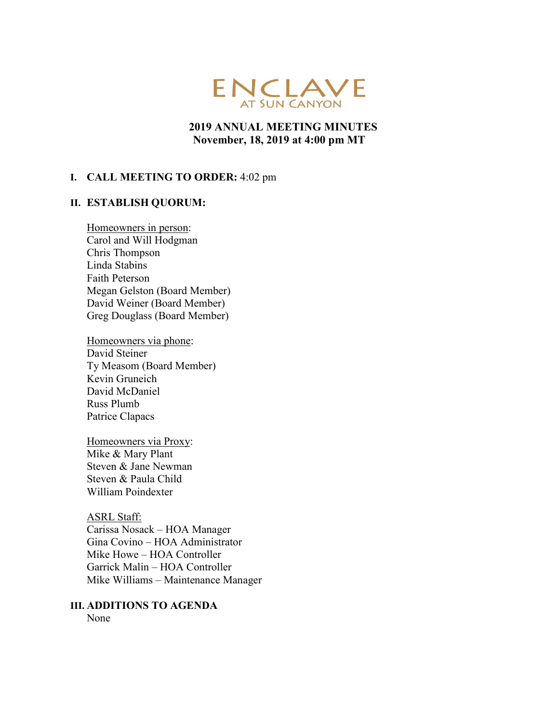

# **2019 ANNUAL MEETING MINUTES November, 18, 2019 at 4:00 pm MT**

#### **I. CALL MEETING TO ORDER:** 4:02 pm

#### **II. ESTABLISH QUORUM:**

Homeowners in person: Carol and Will Hodgman Chris Thompson Linda Stabins Faith Peterson Megan Gelston (Board Member) David Weiner (Board Member) Greg Douglass (Board Member)

Homeowners via phone: David Steiner Ty Measom (Board Member) Kevin Gruneich David McDaniel Russ Plumb Patrice Clapacs

Homeowners via Proxy: Mike & Mary Plant Steven & Jane Newman Steven & Paula Child William Poindexter

ASRL Staff: Carissa Nosack – HOA Manager Gina Covino – HOA Administrator Mike Howe – HOA Controller Garrick Malin – HOA Controller Mike Williams – Maintenance Manager

# **III. ADDITIONS TO AGENDA**

None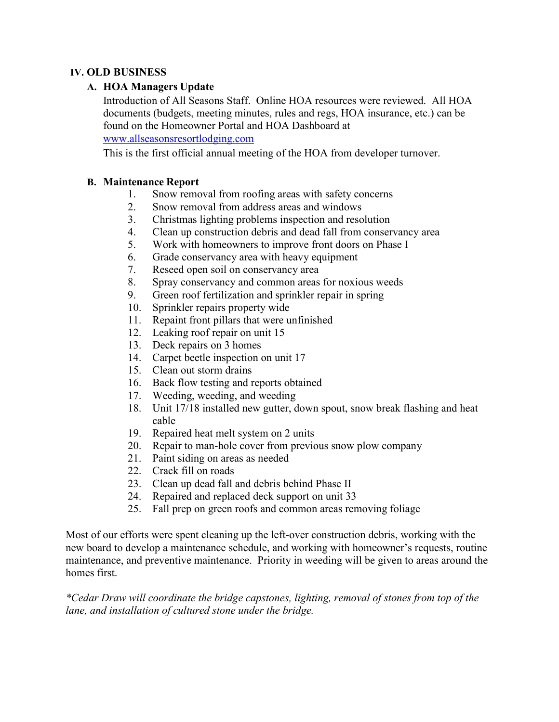# **IV. OLD BUSINESS**

# **A. HOA Managers Update**

Introduction of All Seasons Staff. Online HOA resources were reviewed. All HOA documents (budgets, meeting minutes, rules and regs, HOA insurance, etc.) can be found on the Homeowner Portal and HOA Dashboard at

[www.allseasonsresortlodging.com](http://www.allseasonsresortlodging.com/)

This is the first official annual meeting of the HOA from developer turnover.

### **B. Maintenance Report**

- 1. Snow removal from roofing areas with safety concerns
- 2. Snow removal from address areas and windows
- 3. Christmas lighting problems inspection and resolution
- 4. Clean up construction debris and dead fall from conservancy area
- 5. Work with homeowners to improve front doors on Phase I
- 6. Grade conservancy area with heavy equipment
- 7. Reseed open soil on conservancy area
- 8. Spray conservancy and common areas for noxious weeds
- 9. Green roof fertilization and sprinkler repair in spring
- 10. Sprinkler repairs property wide
- 11. Repaint front pillars that were unfinished
- 12. Leaking roof repair on unit 15
- 13. Deck repairs on 3 homes
- 14. Carpet beetle inspection on unit 17
- 15. Clean out storm drains
- 16. Back flow testing and reports obtained
- 17. Weeding, weeding, and weeding
- 18. Unit 17/18 installed new gutter, down spout, snow break flashing and heat cable
- 19. Repaired heat melt system on 2 units
- 20. Repair to man-hole cover from previous snow plow company
- 21. Paint siding on areas as needed
- 22. Crack fill on roads
- 23. Clean up dead fall and debris behind Phase II
- 24. Repaired and replaced deck support on unit 33
- 25. Fall prep on green roofs and common areas removing foliage

Most of our efforts were spent cleaning up the left-over construction debris, working with the new board to develop a maintenance schedule, and working with homeowner's requests, routine maintenance, and preventive maintenance. Priority in weeding will be given to areas around the homes first.

*\*Cedar Draw will coordinate the bridge capstones, lighting, removal of stones from top of the lane, and installation of cultured stone under the bridge.*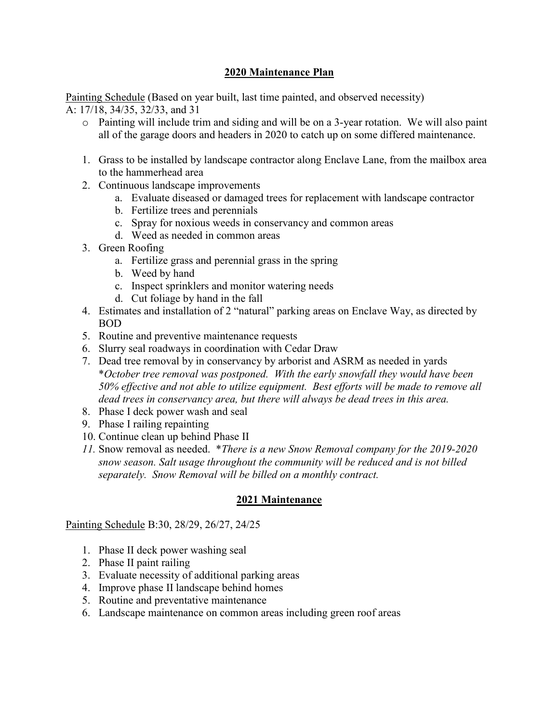# **2020 Maintenance Plan**

Painting Schedule (Based on year built, last time painted, and observed necessity) A: 17/18, 34/35, 32/33, and 31

- o Painting will include trim and siding and will be on a 3-year rotation. We will also paint all of the garage doors and headers in 2020 to catch up on some differed maintenance.
- 1. Grass to be installed by landscape contractor along Enclave Lane, from the mailbox area to the hammerhead area
- 2. Continuous landscape improvements
	- a. Evaluate diseased or damaged trees for replacement with landscape contractor
	- b. Fertilize trees and perennials
	- c. Spray for noxious weeds in conservancy and common areas
	- d. Weed as needed in common areas
- 3. Green Roofing
	- a. Fertilize grass and perennial grass in the spring
	- b. Weed by hand
	- c. Inspect sprinklers and monitor watering needs
	- d. Cut foliage by hand in the fall
- 4. Estimates and installation of 2 "natural" parking areas on Enclave Way, as directed by BOD
- 5. Routine and preventive maintenance requests
- 6. Slurry seal roadways in coordination with Cedar Draw
- 7. Dead tree removal by in conservancy by arborist and ASRM as needed in yards \**October tree removal was postponed. With the early snowfall they would have been 50% effective and not able to utilize equipment. Best efforts will be made to remove all dead trees in conservancy area, but there will always be dead trees in this area.*
- 8. Phase I deck power wash and seal
- 9. Phase I railing repainting
- 10. Continue clean up behind Phase II
- *11.* Snow removal as needed. \**There is a new Snow Removal company for the 2019-2020 snow season. Salt usage throughout the community will be reduced and is not billed separately. Snow Removal will be billed on a monthly contract.*

# **2021 Maintenance**

Painting Schedule B:30, 28/29, 26/27, 24/25

- 1. Phase II deck power washing seal
- 2. Phase II paint railing
- 3. Evaluate necessity of additional parking areas
- 4. Improve phase II landscape behind homes
- 5. Routine and preventative maintenance
- 6. Landscape maintenance on common areas including green roof areas